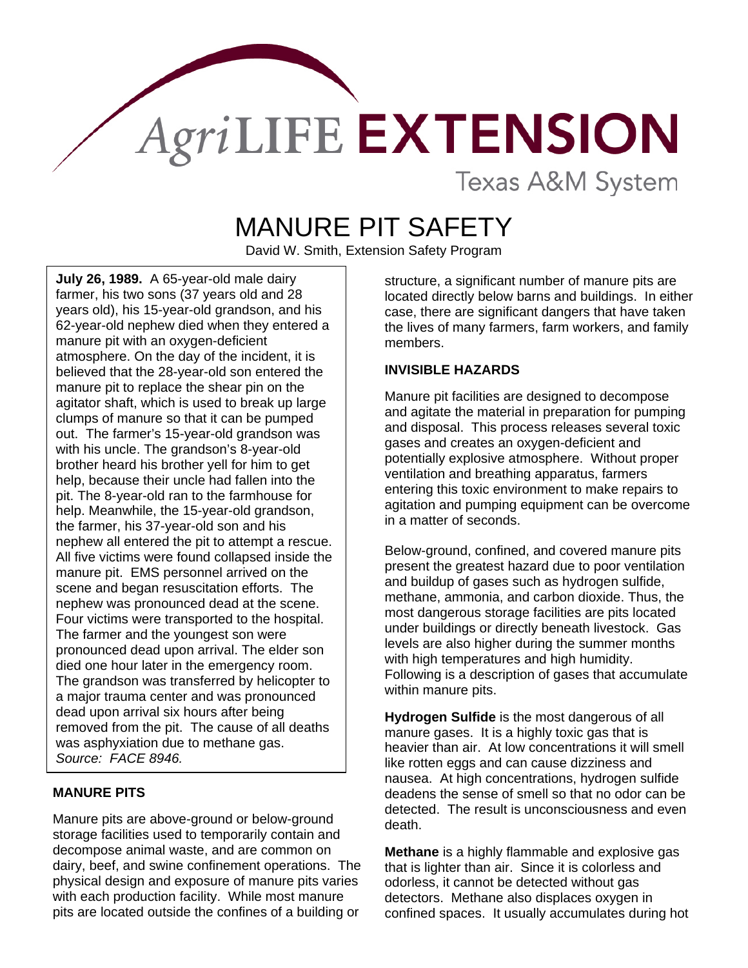## AgriLIFE EXTENSION **Texas A&M System**

MANURE PIT SAFETY

David W. Smith, Extension Safety Program

**July 26, 1989.** A 65-year-old male dairy farmer, his two sons (37 years old and 28 years old), his 15-year-old grandson, and his 62-year-old nephew died when they entered a manure pit with an oxygen-deficient atmosphere. On the day of the incident, it is believed that the 28-year-old son entered the manure pit to replace the shear pin on the agitator shaft, which is used to break up large clumps of manure so that it can be pumped out. The farmer's 15-year-old grandson was with his uncle. The grandson's 8-year-old brother heard his brother yell for him to get help, because their uncle had fallen into the pit. The 8-year-old ran to the farmhouse for help. Meanwhile, the 15-year-old grandson, the farmer, his 37-year-old son and his nephew all entered the pit to attempt a rescue. All five victims were found collapsed inside the manure pit. EMS personnel arrived on the scene and began resuscitation efforts. The nephew was pronounced dead at the scene. Four victims were transported to the hospital. The farmer and the youngest son were pronounced dead upon arrival. The elder son died one hour later in the emergency room. The grandson was transferred by helicopter to a major trauma center and was pronounced dead upon arrival six hours after being removed from the pit. The cause of all deaths was asphyxiation due to methane gas. *Source: FACE 8946.* 

## **MANURE PITS**

Manure pits are above-ground or below-ground storage facilities used to temporarily contain and decompose animal waste, and are common on dairy, beef, and swine confinement operations. The physical design and exposure of manure pits varies with each production facility. While most manure pits are located outside the confines of a building or

structure, a significant number of manure pits are located directly below barns and buildings. In either case, there are significant dangers that have taken the lives of many farmers, farm workers, and family members.

## **INVISIBLE HAZARDS**

Manure pit facilities are designed to decompose and agitate the material in preparation for pumping and disposal. This process releases several toxic gases and creates an oxygen-deficient and potentially explosive atmosphere. Without proper ventilation and breathing apparatus, farmers entering this toxic environment to make repairs to agitation and pumping equipment can be overcome in a matter of seconds.

Below-ground, confined, and covered manure pits present the greatest hazard due to poor ventilation and buildup of gases such as hydrogen sulfide, methane, ammonia, and carbon dioxide. Thus, the most dangerous storage facilities are pits located under buildings or directly beneath livestock. Gas levels are also higher during the summer months with high temperatures and high humidity. Following is a description of gases that accumulate within manure pits.

**Hydrogen Sulfide** is the most dangerous of all manure gases. It is a highly toxic gas that is heavier than air. At low concentrations it will smell like rotten eggs and can cause dizziness and nausea. At high concentrations, hydrogen sulfide deadens the sense of smell so that no odor can be detected. The result is unconsciousness and even death.

**Methane** is a highly flammable and explosive gas that is lighter than air. Since it is colorless and odorless, it cannot be detected without gas detectors. Methane also displaces oxygen in confined spaces. It usually accumulates during hot